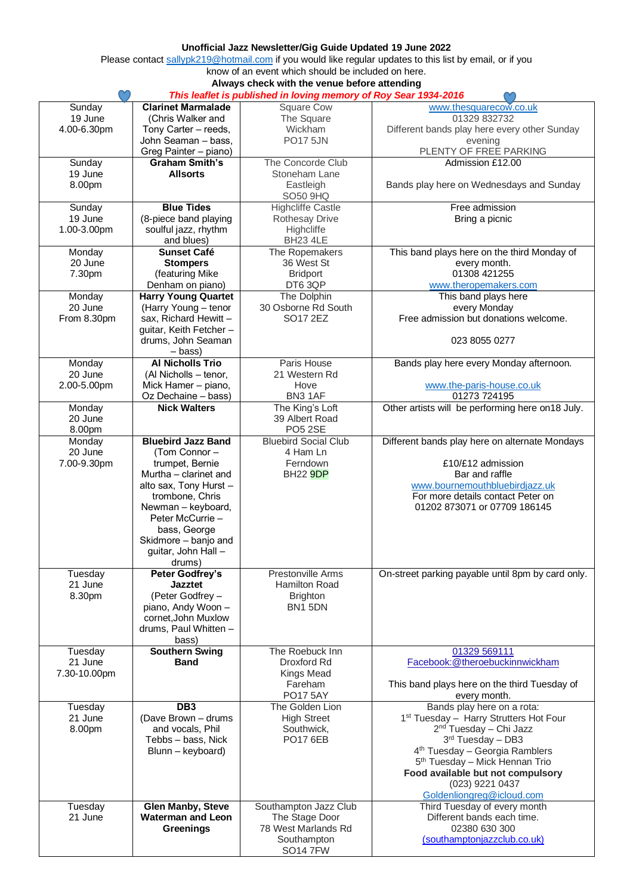## **Unofficial Jazz Newsletter/Gig Guide Updated 19 June 2022**

Please contac[t sallypk219@hotmail.com](mailto:sallypk219@hotmail.com) if you would like regular updates to this list by email, or if you know of an event which should be included on here.

**Always check with the venue before attending**

| This leaflet is published in loving memory of Roy Sear 1934-2016 |                                                      |                                         |                                                           |  |
|------------------------------------------------------------------|------------------------------------------------------|-----------------------------------------|-----------------------------------------------------------|--|
| Sunday                                                           | <b>Clarinet Marmalade</b>                            | <b>Square Cow</b>                       | www.thesquarecow.co.uk                                    |  |
| 19 June                                                          | (Chris Walker and                                    | The Square                              | 01329 832732                                              |  |
| 4.00-6.30pm                                                      | Tony Carter - reeds,                                 | Wickham                                 | Different bands play here every other Sunday              |  |
|                                                                  | John Seaman - bass,                                  | <b>PO17 5JN</b>                         | evening                                                   |  |
|                                                                  | Greg Painter - piano)                                |                                         | PLENTY OF FREE PARKING                                    |  |
| Sunday                                                           | <b>Graham Smith's</b>                                | The Concorde Club                       | Admission £12.00                                          |  |
| 19 June                                                          | <b>Allsorts</b>                                      | Stoneham Lane                           |                                                           |  |
| 8.00pm                                                           |                                                      | Eastleigh                               | Bands play here on Wednesdays and Sunday                  |  |
|                                                                  |                                                      | SO50 9HQ                                |                                                           |  |
| Sunday                                                           | <b>Blue Tides</b>                                    | <b>Highcliffe Castle</b>                | Free admission                                            |  |
| 19 June                                                          | (8-piece band playing                                | <b>Rothesay Drive</b>                   | Bring a picnic                                            |  |
| 1.00-3.00pm                                                      | soulful jazz, rhythm                                 | Highcliffe                              |                                                           |  |
|                                                                  | and blues)                                           | BH23 4LE                                |                                                           |  |
| Monday                                                           | <b>Sunset Café</b>                                   | The Ropemakers                          | This band plays here on the third Monday of               |  |
| 20 June                                                          | <b>Stompers</b>                                      | 36 West St                              | every month.                                              |  |
| 7.30pm                                                           | (featuring Mike                                      | <b>Bridport</b>                         | 01308 421255                                              |  |
|                                                                  | Denham on piano)                                     | DT6 3QP                                 | www.theropemakers.com                                     |  |
| Monday                                                           | <b>Harry Young Quartet</b>                           | The Dolphin                             | This band plays here                                      |  |
| 20 June                                                          | (Harry Young - tenor                                 | 30 Osborne Rd South                     | every Monday                                              |  |
| From 8.30pm                                                      | sax, Richard Hewitt -                                | SO17 2EZ                                | Free admission but donations welcome.                     |  |
|                                                                  | guitar, Keith Fetcher-                               |                                         |                                                           |  |
|                                                                  | drums, John Seaman                                   |                                         | 023 8055 0277                                             |  |
|                                                                  | – bass)                                              |                                         |                                                           |  |
| Monday                                                           | <b>Al Nicholls Trio</b>                              | Paris House                             | Bands play here every Monday afternoon.                   |  |
| 20 June                                                          | (Al Nicholls - tenor,                                | 21 Western Rd                           |                                                           |  |
| 2.00-5.00pm                                                      | Mick Hamer - piano,                                  | Hove                                    | www.the-paris-house.co.uk                                 |  |
|                                                                  | Oz Dechaine - bass)                                  | BN3 1AF                                 | 01273 724195                                              |  |
| Monday                                                           | <b>Nick Walters</b>                                  | The King's Loft                         | Other artists will be performing here on 18 July.         |  |
| 20 June                                                          |                                                      | 39 Albert Road                          |                                                           |  |
| 8.00pm                                                           |                                                      | PO <sub>5</sub> 2SE                     |                                                           |  |
| Monday                                                           | <b>Bluebird Jazz Band</b>                            | <b>Bluebird Social Club</b>             | Different bands play here on alternate Mondays            |  |
| 20 June                                                          | (Tom Connor -                                        | 4 Ham Ln                                |                                                           |  |
| 7.00-9.30pm                                                      | trumpet, Bernie                                      | Ferndown                                | £10/£12 admission                                         |  |
|                                                                  | Murtha - clarinet and                                | <b>BH22 9DP</b>                         | Bar and raffle                                            |  |
|                                                                  | alto sax, Tony Hurst -                               |                                         | www.bournemouthbluebirdjazz.uk                            |  |
|                                                                  | trombone, Chris                                      |                                         | For more details contact Peter on                         |  |
|                                                                  | Newman - keyboard,                                   |                                         | 01202 873071 or 07709 186145                              |  |
|                                                                  | Peter McCurrie -                                     |                                         |                                                           |  |
|                                                                  | bass, George                                         |                                         |                                                           |  |
|                                                                  | Skidmore - banjo and                                 |                                         |                                                           |  |
|                                                                  | guitar, John Hall -                                  |                                         |                                                           |  |
|                                                                  | drums)                                               |                                         |                                                           |  |
| Tuesday                                                          | <b>Peter Godfrey's</b>                               | Prestonville Arms                       | On-street parking payable until 8pm by card only.         |  |
| 21 June                                                          | <b>Jazztet</b>                                       | Hamilton Road                           |                                                           |  |
| 8.30pm                                                           | (Peter Godfrey -                                     | <b>Brighton</b>                         |                                                           |  |
|                                                                  | piano, Andy Woon -                                   | BN1 5DN                                 |                                                           |  |
|                                                                  | cornet, John Muxlow                                  |                                         |                                                           |  |
|                                                                  | drums, Paul Whitten -                                |                                         |                                                           |  |
|                                                                  | bass)                                                |                                         |                                                           |  |
| Tuesday                                                          | <b>Southern Swing</b>                                | The Roebuck Inn                         | 01329 569111                                              |  |
| 21 June                                                          | <b>Band</b>                                          | Droxford Rd                             | Facebook:@theroebuckinnwickham                            |  |
| 7.30-10.00pm                                                     |                                                      | <b>Kings Mead</b>                       |                                                           |  |
|                                                                  |                                                      | Fareham                                 | This band plays here on the third Tuesday of              |  |
|                                                                  |                                                      | <b>PO17 5AY</b>                         | every month.                                              |  |
| Tuesday                                                          | DB <sub>3</sub>                                      | The Golden Lion                         | Bands play here on a rota:                                |  |
| 21 June                                                          | (Dave Brown - drums                                  | <b>High Street</b>                      | 1 <sup>st</sup> Tuesday - Harry Strutters Hot Four        |  |
| 8.00pm                                                           | and vocals, Phil                                     | Southwick,                              | 2 <sup>nd</sup> Tuesday - Chi Jazz                        |  |
|                                                                  | Tebbs - bass, Nick                                   | <b>PO17 6EB</b>                         | 3 <sup>rd</sup> Tuesday - DB3                             |  |
|                                                                  | Blunn - keyboard)                                    |                                         | 4 <sup>th</sup> Tuesday - Georgia Ramblers                |  |
|                                                                  |                                                      |                                         | 5 <sup>th</sup> Tuesday - Mick Hennan Trio                |  |
|                                                                  |                                                      |                                         | Food available but not compulsory                         |  |
|                                                                  |                                                      |                                         | (023) 9221 0437                                           |  |
| Tuesday                                                          |                                                      |                                         | Goldenliongreg@icloud.com<br>Third Tuesday of every month |  |
| 21 June                                                          | <b>Glen Manby, Steve</b><br><b>Waterman and Leon</b> | Southampton Jazz Club<br>The Stage Door | Different bands each time.                                |  |
|                                                                  | <b>Greenings</b>                                     | 78 West Marlands Rd                     | 02380 630 300                                             |  |
|                                                                  |                                                      | Southampton                             | (southamptonjazzclub.co.uk)                               |  |
|                                                                  |                                                      | <b>SO147FW</b>                          |                                                           |  |
|                                                                  |                                                      |                                         |                                                           |  |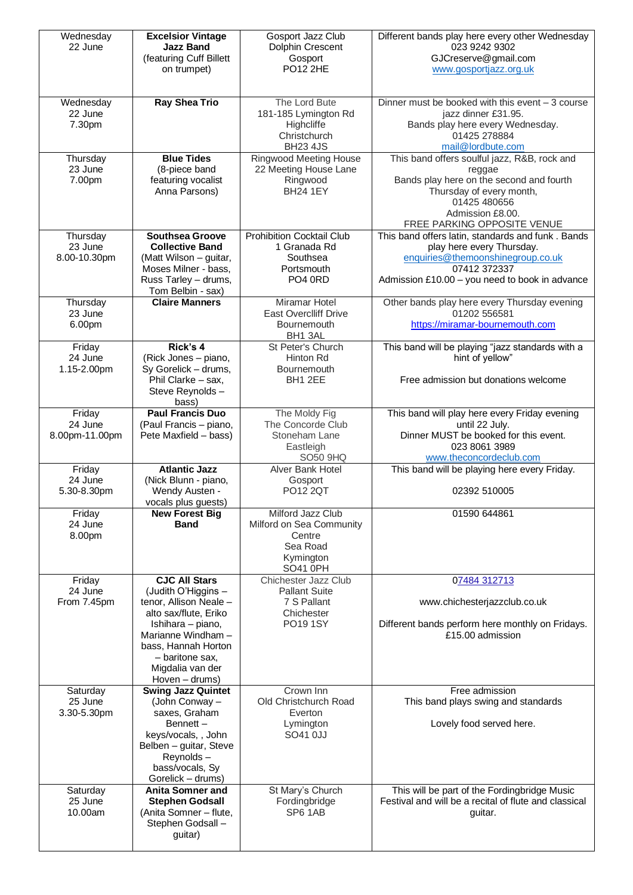| Wednesday<br>22 June                | <b>Excelsior Vintage</b><br><b>Jazz Band</b><br>(featuring Cuff Billett<br>on trumpet)                                                                                                                                    | Gosport Jazz Club<br>Dolphin Crescent<br>Gosport<br><b>PO12 2HE</b>                          | Different bands play here every other Wednesday<br>023 9242 9302<br>GJCreserve@gmail.com<br>www.gosportjazz.org.uk                                                                                |
|-------------------------------------|---------------------------------------------------------------------------------------------------------------------------------------------------------------------------------------------------------------------------|----------------------------------------------------------------------------------------------|---------------------------------------------------------------------------------------------------------------------------------------------------------------------------------------------------|
| Wednesday<br>22 June<br>7.30pm      | <b>Ray Shea Trio</b>                                                                                                                                                                                                      | The Lord Bute<br>181-185 Lymington Rd<br>Highcliffe<br>Christchurch<br><b>BH23 4JS</b>       | Dinner must be booked with this event $-3$ course<br>jazz dinner £31.95.<br>Bands play here every Wednesday.<br>01425 278884<br>mail@lordbute.com                                                 |
| Thursday<br>23 June<br>7.00pm       | <b>Blue Tides</b><br>(8-piece band<br>featuring vocalist<br>Anna Parsons)                                                                                                                                                 | <b>Ringwood Meeting House</b><br>22 Meeting House Lane<br>Ringwood<br><b>BH24 1EY</b>        | This band offers soulful jazz, R&B, rock and<br>reggae<br>Bands play here on the second and fourth<br>Thursday of every month,<br>01425 480656<br>Admission £8.00.<br>FREE PARKING OPPOSITE VENUE |
| Thursday<br>23 June<br>8.00-10.30pm | <b>Southsea Groove</b><br><b>Collective Band</b><br>(Matt Wilson - guitar,<br>Moses Milner - bass,<br>Russ Tarley - drums,<br>Tom Belbin - sax)                                                                           | <b>Prohibition Cocktail Club</b><br>1 Granada Rd<br>Southsea<br>Portsmouth<br>PO4 0RD        | This band offers latin, standards and funk. Bands<br>play here every Thursday.<br>enquiries@themoonshinegroup.co.uk<br>07412 372337<br>Admission £10.00 - you need to book in advance             |
| Thursday<br>23 June<br>6.00pm       | <b>Claire Manners</b>                                                                                                                                                                                                     | Miramar Hotel<br>East Overclliff Drive<br>Bournemouth<br>BH1 3AL                             | Other bands play here every Thursday evening<br>01202 556581<br>https://miramar-bournemouth.com                                                                                                   |
| Friday<br>24 June<br>1.15-2.00pm    | Rick's 4<br>(Rick Jones - piano,<br>Sy Gorelick - drums,<br>Phil Clarke - sax,<br>Steve Reynolds-<br>bass)                                                                                                                | St Peter's Church<br><b>Hinton Rd</b><br><b>Bournemouth</b><br>BH1 2EE                       | This band will be playing "jazz standards with a<br>hint of yellow"<br>Free admission but donations welcome                                                                                       |
| Friday<br>24 June<br>8.00pm-11.00pm | <b>Paul Francis Duo</b><br>(Paul Francis - piano,<br>Pete Maxfield - bass)                                                                                                                                                | The Moldy Fig<br>The Concorde Club<br>Stoneham Lane<br>Eastleigh<br>SO50 9HQ                 | This band will play here every Friday evening<br>until 22 July.<br>Dinner MUST be booked for this event.<br>023 8061 3989<br>www.theconcordeclub.com                                              |
| Friday<br>24 June<br>5.30-8.30pm    | <b>Atlantic Jazz</b><br>(Nick Blunn - piano,<br>Wendy Austen -<br>vocals plus guests)                                                                                                                                     | Alver Bank Hotel<br>Gosport<br><b>PO12 2QT</b>                                               | This band will be playing here every Friday.<br>02392 510005                                                                                                                                      |
| Friday<br>24 June<br>8.00pm         | <b>New Forest Big</b><br><b>Band</b>                                                                                                                                                                                      | Milford Jazz Club<br>Milford on Sea Community<br>Centre<br>Sea Road<br>Kymington<br>SO41 0PH | 01590 644861                                                                                                                                                                                      |
| Friday<br>24 June<br>From 7.45pm    | <b>CJC All Stars</b><br>(Judith O'Higgins -<br>tenor, Allison Neale -<br>alto sax/flute, Eriko<br>Ishihara - piano,<br>Marianne Windham -<br>bass, Hannah Horton<br>- baritone sax,<br>Migdalia van der<br>Hoven - drums) | Chichester Jazz Club<br><b>Pallant Suite</b><br>7 S Pallant<br>Chichester<br>PO19 1SY        | 07484 312713<br>www.chichesterjazzclub.co.uk<br>Different bands perform here monthly on Fridays.<br>£15.00 admission                                                                              |
| Saturday<br>25 June<br>3.30-5.30pm  | <b>Swing Jazz Quintet</b><br>(John Conway -<br>saxes, Graham<br>Bennett-<br>keys/vocals, , John<br>Belben - guitar, Steve<br>Reynolds-<br>bass/vocals, Sy<br>Gorelick - drums)                                            | Crown Inn<br>Old Christchurch Road<br>Everton<br>Lymington<br>SO41 0JJ                       | Free admission<br>This band plays swing and standards<br>Lovely food served here.                                                                                                                 |
| Saturday<br>25 June<br>10.00am      | <b>Anita Somner and</b><br><b>Stephen Godsall</b><br>(Anita Somner - flute,<br>Stephen Godsall -<br>guitar)                                                                                                               | St Mary's Church<br>Fordingbridge<br>SP6 1AB                                                 | This will be part of the Fordingbridge Music<br>Festival and will be a recital of flute and classical<br>guitar.                                                                                  |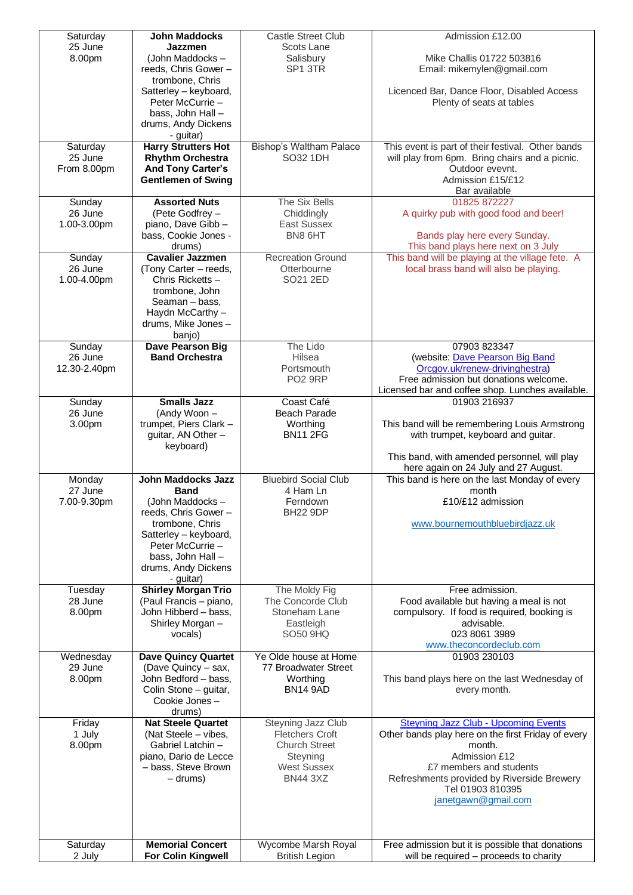| Saturday          | <b>John Maddocks</b>                                  | <b>Castle Street Club</b>                    | Admission £12.00                                                                                  |
|-------------------|-------------------------------------------------------|----------------------------------------------|---------------------------------------------------------------------------------------------------|
| 25 June<br>8.00pm | Jazzmen<br>(John Maddocks -                           | Scots Lane<br>Salisbury                      | Mike Challis 01722 503816                                                                         |
|                   | reeds, Chris Gower -                                  | SP1 3TR                                      | Email: mikemylen@gmail.com                                                                        |
|                   | trombone, Chris                                       |                                              |                                                                                                   |
|                   | Satterley - keyboard,                                 |                                              | Licenced Bar, Dance Floor, Disabled Access                                                        |
|                   | Peter McCurrie -                                      |                                              | Plenty of seats at tables                                                                         |
|                   | bass, John Hall -<br>drums, Andy Dickens              |                                              |                                                                                                   |
|                   | - guitar)                                             |                                              |                                                                                                   |
| Saturday          | <b>Harry Strutters Hot</b>                            | Bishop's Waltham Palace                      | This event is part of their festival. Other bands                                                 |
| 25 June           | <b>Rhythm Orchestra</b>                               | SO32 1DH                                     | will play from 6pm. Bring chairs and a picnic.                                                    |
| From 8.00pm       | <b>And Tony Carter's</b><br><b>Gentlemen of Swing</b> |                                              | Outdoor evevnt.<br>Admission £15/£12                                                              |
|                   |                                                       |                                              | Bar available                                                                                     |
| Sunday            | <b>Assorted Nuts</b>                                  | The Six Bells                                | 01825 872227                                                                                      |
| 26 June           | (Pete Godfrey -                                       | Chiddingly                                   | A quirky pub with good food and beer!                                                             |
| 1.00-3.00pm       | piano, Dave Gibb -                                    | <b>East Sussex</b>                           |                                                                                                   |
|                   | bass, Cookie Jones -<br>drums)                        | BN8 6HT                                      | Bands play here every Sunday.<br>This band plays here next on 3 July                              |
| Sunday            | <b>Cavalier Jazzmen</b>                               | <b>Recreation Ground</b>                     | This band will be playing at the village fete. A                                                  |
| 26 June           | (Tony Carter – reeds,                                 | Otterbourne                                  | local brass band will also be playing.                                                            |
| 1.00-4.00pm       | Chris Ricketts -                                      | SO21 2ED                                     |                                                                                                   |
|                   | trombone, John<br>Seaman - bass,                      |                                              |                                                                                                   |
|                   | Haydn McCarthy -                                      |                                              |                                                                                                   |
|                   | drums, Mike Jones -                                   |                                              |                                                                                                   |
|                   | banjo)                                                | The Lido                                     | 07903 823347                                                                                      |
| Sunday<br>26 June | Dave Pearson Big<br><b>Band Orchestra</b>             | Hilsea                                       | (website: Dave Pearson Big Band                                                                   |
| 12.30-2.40pm      |                                                       | Portsmouth                                   | Orcgov.uk/renew-drivinghestra)                                                                    |
|                   |                                                       | <b>PO2 9RP</b>                               | Free admission but donations welcome.                                                             |
|                   |                                                       |                                              | Licensed bar and coffee shop. Lunches available.                                                  |
| Sunday<br>26 June | <b>Smalls Jazz</b><br>(Andy Woon -                    | Coast Café<br>Beach Parade                   | 01903 216937                                                                                      |
| 3.00pm            | trumpet, Piers Clark -                                | Worthing                                     | This band will be remembering Louis Armstrong                                                     |
|                   | guitar, AN Other -                                    | <b>BN11 2FG</b>                              | with trumpet, keyboard and guitar.                                                                |
|                   | keyboard)                                             |                                              |                                                                                                   |
|                   |                                                       |                                              | This band, with amended personnel, will play<br>here again on 24 July and 27 August.              |
| Monday            | <b>John Maddocks Jazz</b>                             | <b>Bluebird Social Club</b>                  | This band is here on the last Monday of every                                                     |
| 27 June           | <b>Band</b>                                           | 4 Ham Ln                                     | month                                                                                             |
| 7.00-9.30pm       | (John Maddocks -                                      | Ferndown                                     | £10/£12 admission                                                                                 |
|                   | reeds, Chris Gower -<br>trombone, Chris               | BH22 9DP                                     | www.bournemouthbluebirdiazz.uk                                                                    |
|                   | Satterley - keyboard,                                 |                                              |                                                                                                   |
|                   | Peter McCurrie -                                      |                                              |                                                                                                   |
|                   | bass, John Hall -                                     |                                              |                                                                                                   |
|                   | drums, Andy Dickens<br>- guitar)                      |                                              |                                                                                                   |
| Tuesday           | <b>Shirley Morgan Trio</b>                            | The Moldy Fig                                | Free admission.                                                                                   |
| 28 June           | (Paul Francis - piano,                                | The Concorde Club                            | Food available but having a meal is not                                                           |
| 8.00pm            | John Hibberd - bass,<br>Shirley Morgan -              | Stoneham Lane<br>Eastleigh                   | compulsory. If food is required, booking is<br>advisable.                                         |
|                   | vocals)                                               | <b>SO50 9HQ</b>                              | 023 8061 3989                                                                                     |
|                   |                                                       |                                              | www.theconcordeclub.com                                                                           |
| Wednesday         | <b>Dave Quincy Quartet</b>                            | Ye Olde house at Home                        | 01903 230103                                                                                      |
| 29 June<br>8.00pm | (Dave Quincy - sax,<br>John Bedford - bass,           | 77 Broadwater Street<br>Worthing             | This band plays here on the last Wednesday of                                                     |
|                   | Colin Stone - guitar,                                 | <b>BN14 9AD</b>                              | every month.                                                                                      |
|                   | Cookie Jones -                                        |                                              |                                                                                                   |
|                   | drums)                                                |                                              |                                                                                                   |
| Friday<br>1 July  | <b>Nat Steele Quartet</b><br>(Nat Steele – vibes,     | Steyning Jazz Club<br><b>Fletchers Croft</b> | <b>Steyning Jazz Club - Upcoming Events</b><br>Other bands play here on the first Friday of every |
| 8.00pm            | Gabriel Latchin-                                      | <b>Church Street</b>                         | month.                                                                                            |
|                   | piano, Dario de Lecce                                 | Steyning                                     | Admission £12                                                                                     |
|                   | - bass, Steve Brown                                   | <b>West Sussex</b>                           | £7 members and students                                                                           |
|                   | - drums)                                              | <b>BN44 3XZ</b>                              | Refreshments provided by Riverside Brewery<br>Tel 01903 810395                                    |
|                   |                                                       |                                              | janetgawn@gmail.com                                                                               |
|                   |                                                       |                                              |                                                                                                   |
|                   |                                                       |                                              |                                                                                                   |
| Saturday          | <b>Memorial Concert</b>                               | Wycombe Marsh Royal                          | Free admission but it is possible that donations                                                  |
| 2 July            | For Colin Kingwell                                    | <b>British Legion</b>                        | will be required - proceeds to charity                                                            |